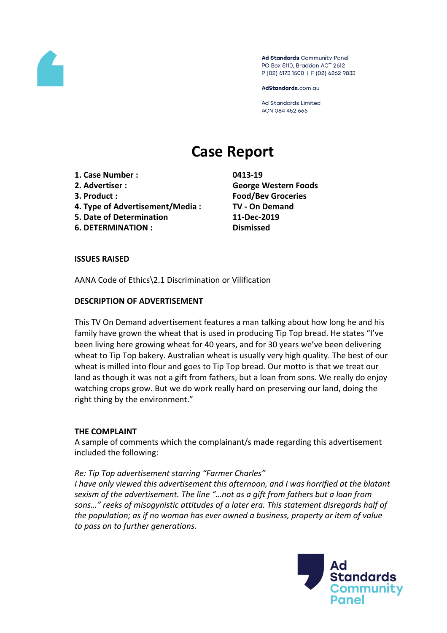

Ad Standards Community Panel PO Box 5110, Braddon ACT 2612 P (02) 6173 1500 | F (02) 6262 9833

AdStandards.com.au

Ad Standards Limited ACN 084 452 666

# **Case Report**

- **1. Case Number : 0413-19**
- 
- 
- **4. Type of Advertisement/Media : TV - On Demand**
- **5. Date of Determination 11-Dec-2019**
- **6. DETERMINATION : Dismissed**

**2. Advertiser : George Western Foods 3. Product : Food/Bev Groceries**

## **ISSUES RAISED**

AANA Code of Ethics\2.1 Discrimination or Vilification

## **DESCRIPTION OF ADVERTISEMENT**

This TV On Demand advertisement features a man talking about how long he and his family have grown the wheat that is used in producing Tip Top bread. He states "I've been living here growing wheat for 40 years, and for 30 years we've been delivering wheat to Tip Top bakery. Australian wheat is usually very high quality. The best of our wheat is milled into flour and goes to Tip Top bread. Our motto is that we treat our land as though it was not a gift from fathers, but a loan from sons. We really do enjoy watching crops grow. But we do work really hard on preserving our land, doing the right thing by the environment."

## **THE COMPLAINT**

A sample of comments which the complainant/s made regarding this advertisement included the following:

## *Re: Tip Top advertisement starring "Farmer Charles"*

*I have only viewed this advertisement this afternoon, and I was horrified at the blatant sexism of the advertisement. The line "…not as a gift from fathers but a loan from sons…" reeks of misogynistic attitudes of a later era. This statement disregards half of the population; as if no woman has ever owned a business, property or item of value to pass on to further generations.* 

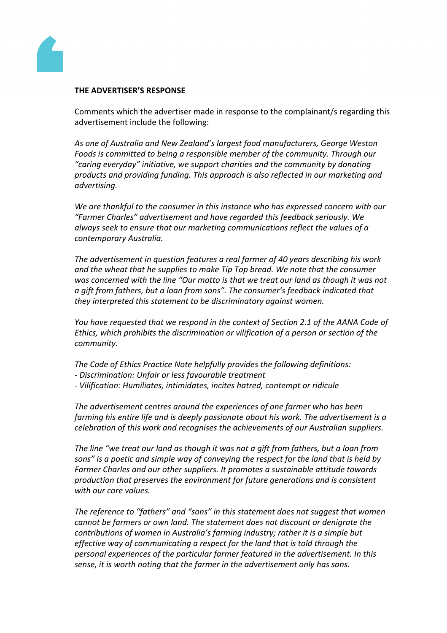

#### **THE ADVERTISER'S RESPONSE**

Comments which the advertiser made in response to the complainant/s regarding this advertisement include the following:

*As one of Australia and New Zealand's largest food manufacturers, George Weston Foods is committed to being a responsible member of the community. Through our "caring everyday" initiative, we support charities and the community by donating products and providing funding. This approach is also reflected in our marketing and advertising.*

*We are thankful to the consumer in this instance who has expressed concern with our "Farmer Charles" advertisement and have regarded this feedback seriously. We always seek to ensure that our marketing communications reflect the values of a contemporary Australia.*

*The advertisement in question features a real farmer of 40 years describing his work and the wheat that he supplies to make Tip Top bread. We note that the consumer was concerned with the line "Our motto is that we treat our land as though it was not a gift from fathers, but a loan from sons". The consumer's feedback indicated that they interpreted this statement to be discriminatory against women.*

*You have requested that we respond in the context of Section 2.1 of the AANA Code of Ethics, which prohibits the discrimination or vilification of a person or section of the community.*

- *The Code of Ethics Practice Note helpfully provides the following definitions:*
- *- Discrimination: Unfair or less favourable treatment*
- *- Vilification: Humiliates, intimidates, incites hatred, contempt or ridicule*

*The advertisement centres around the experiences of one farmer who has been farming his entire life and is deeply passionate about his work. The advertisement is a celebration of this work and recognises the achievements of our Australian suppliers.*

*The line "we treat our land as though it was not a gift from fathers, but a loan from sons" is a poetic and simple way of conveying the respect for the land that is held by Farmer Charles and our other suppliers. It promotes a sustainable attitude towards production that preserves the environment for future generations and is consistent with our core values.*

*The reference to "fathers" and "sons" in this statement does not suggest that women cannot be farmers or own land. The statement does not discount or denigrate the contributions of women in Australia's farming industry; rather it is a simple but effective way of communicating a respect for the land that is told through the personal experiences of the particular farmer featured in the advertisement. In this sense, it is worth noting that the farmer in the advertisement only has sons.*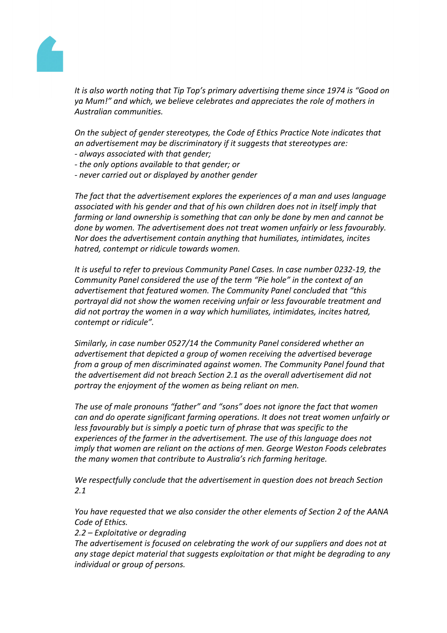

*It is also worth noting that Tip Top's primary advertising theme since 1974 is "Good on ya Mum!" and which, we believe celebrates and appreciates the role of mothers in Australian communities.* 

*On the subject of gender stereotypes, the Code of Ethics Practice Note indicates that an advertisement may be discriminatory if it suggests that stereotypes are: - always associated with that gender;*

- *- the only options available to that gender; or*
- *- never carried out or displayed by another gender*

*The fact that the advertisement explores the experiences of a man and uses language associated with his gender and that of his own children does not in itself imply that farming or land ownership is something that can only be done by men and cannot be done by women. The advertisement does not treat women unfairly or less favourably. Nor does the advertisement contain anything that humiliates, intimidates, incites hatred, contempt or ridicule towards women.*

*It is useful to refer to previous Community Panel Cases. In case number 0232-19, the Community Panel considered the use of the term "Pie hole" in the context of an advertisement that featured women. The Community Panel concluded that "this portrayal did not show the women receiving unfair or less favourable treatment and did not portray the women in a way which humiliates, intimidates, incites hatred, contempt or ridicule".*

*Similarly, in case number 0527/14 the Community Panel considered whether an advertisement that depicted a group of women receiving the advertised beverage from a group of men discriminated against women. The Community Panel found that the advertisement did not breach Section 2.1 as the overall advertisement did not portray the enjoyment of the women as being reliant on men.*

*The use of male pronouns "father" and "sons" does not ignore the fact that women can and do operate significant farming operations. It does not treat women unfairly or less favourably but is simply a poetic turn of phrase that was specific to the experiences of the farmer in the advertisement. The use of this language does not imply that women are reliant on the actions of men. George Weston Foods celebrates the many women that contribute to Australia's rich farming heritage.*

*We respectfully conclude that the advertisement in question does not breach Section 2.1*

*You have requested that we also consider the other elements of Section 2 of the AANA Code of Ethics.*

*2.2 – Exploitative or degrading*

*The advertisement is focused on celebrating the work of our suppliers and does not at any stage depict material that suggests exploitation or that might be degrading to any individual or group of persons.*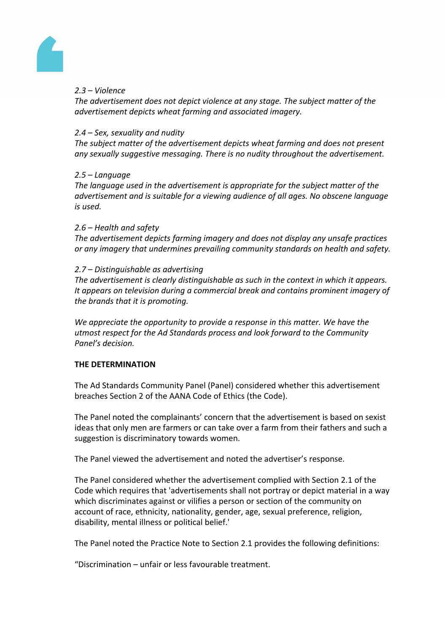

# *2.3 – Violence*

*The advertisement does not depict violence at any stage. The subject matter of the advertisement depicts wheat farming and associated imagery.*

## *2.4 – Sex, sexuality and nudity*

*The subject matter of the advertisement depicts wheat farming and does not present any sexually suggestive messaging. There is no nudity throughout the advertisement.*

## *2.5 – Language*

*The language used in the advertisement is appropriate for the subject matter of the advertisement and is suitable for a viewing audience of all ages. No obscene language is used.*

## *2.6 – Health and safety*

*The advertisement depicts farming imagery and does not display any unsafe practices or any imagery that undermines prevailing community standards on health and safety.*

## *2.7 – Distinguishable as advertising*

*The advertisement is clearly distinguishable as such in the context in which it appears. It appears on television during a commercial break and contains prominent imagery of the brands that it is promoting.*

*We appreciate the opportunity to provide a response in this matter. We have the utmost respect for the Ad Standards process and look forward to the Community Panel's decision.*

# **THE DETERMINATION**

The Ad Standards Community Panel (Panel) considered whether this advertisement breaches Section 2 of the AANA Code of Ethics (the Code).

The Panel noted the complainants' concern that the advertisement is based on sexist ideas that only men are farmers or can take over a farm from their fathers and such a suggestion is discriminatory towards women.

The Panel viewed the advertisement and noted the advertiser's response.

The Panel considered whether the advertisement complied with Section 2.1 of the Code which requires that 'advertisements shall not portray or depict material in a way which discriminates against or vilifies a person or section of the community on account of race, ethnicity, nationality, gender, age, sexual preference, religion, disability, mental illness or political belief.'

The Panel noted the Practice Note to Section 2.1 provides the following definitions:

"Discrimination – unfair or less favourable treatment.